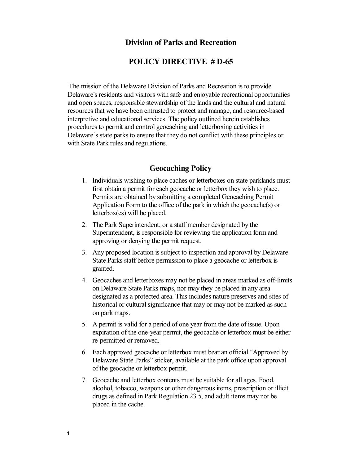## **Division of Parks and Recreation**

## **POLICY DIRECTIVE # D65**

The mission of the Delaware Division of Parks and Recreation is to provide Delaware's residents and visitors with safe and enjoyable recreational opportunities and open spaces, responsible stewardship of the lands and the cultural and natural resources that we have been entrusted to protect and manage, and resource-based interpretive and educational services. The policy outlined herein establishes procedures to permit and control geocaching and letterboxing activities in Delaware's state parks to ensure that they do not conflict with these principles or with State Park rules and regulations.

## **Geocaching Policy**

- 1. Individuals wishing to place caches or letterboxes on state parklands must first obtain a permit for each geocache or letterbox they wish to place. Permits are obtained by submitting a completed Geocaching Permit Application Form to the office of the park in which the geocache(s) or letterbox(es) will be placed.
- 2. The Park Superintendent, or a staff member designated by the Superintendent, is responsible for reviewing the application form and approving or denying the permit request.
- 3. Any proposed location is subject to inspection and approval by Delaware State Parks staff before permission to place a geocache or letterbox is granted.
- 4. Geocaches and letterboxes may not be placed in areas marked as off-limits on Delaware State Parks maps, nor may they be placed in any area designated as a protected area. This includes nature preserves and sites of historical or cultural significance that may or may not be marked as such on park maps.
- 5. A permit is valid for a period of one year from the date of issue. Upon expiration of the one-year permit, the geocache or letterbox must be either re-permitted or removed.
- 6. Each approved geocache or letterbox must bear an official "Approved by Delaware State Parks" sticker, available at the park office upon approval of the geocache or letterbox permit.
- 7. Geocache and letterbox contents must be suitable for all ages. Food, alcohol, tobacco, weapons or other dangerousitems, prescription or illicit drugs as defined in Park Regulation 23.5, and adult items may not be placed in the cache.